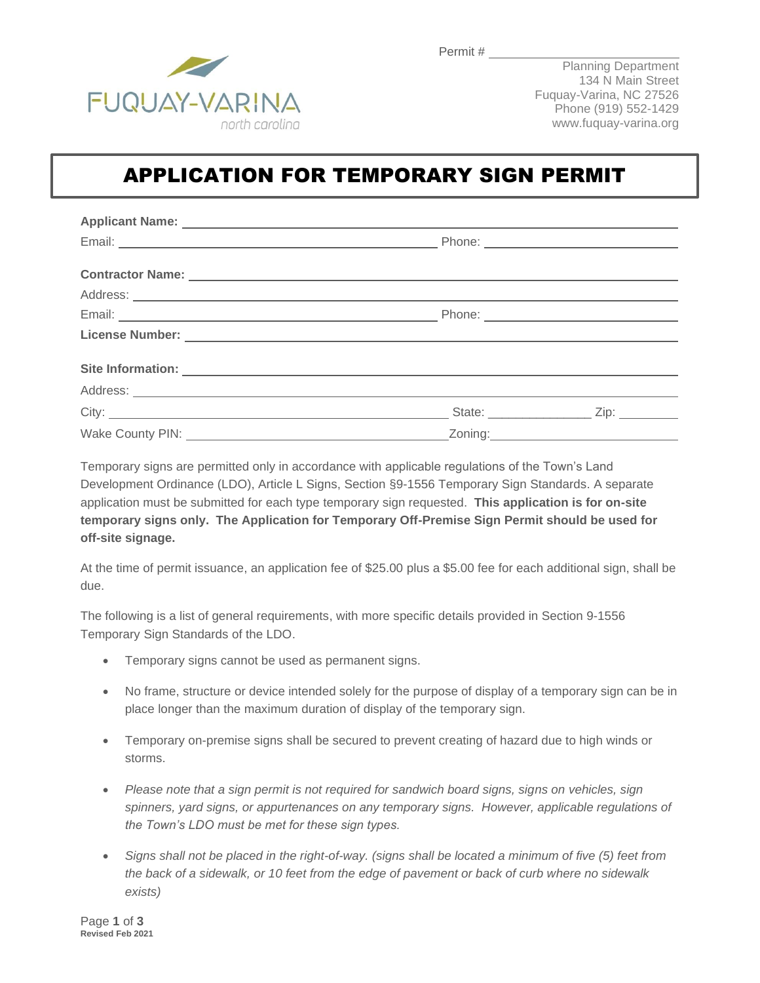

Planning Department 134 N Main Street Fuquay-Varina, NC 27526 Phone (919) 552-1429 www.fuquay-varina.org

# APPLICATION FOR TEMPORARY SIGN PERMIT

| Site Information: <u>example and the set of the set of the set of the set of the set of the set of the set of the set of the set of the set of the set of the set of the set of the set of the set of the set of the set of the </u> |  |  |  |
|--------------------------------------------------------------------------------------------------------------------------------------------------------------------------------------------------------------------------------------|--|--|--|
|                                                                                                                                                                                                                                      |  |  |  |
|                                                                                                                                                                                                                                      |  |  |  |
|                                                                                                                                                                                                                                      |  |  |  |

Temporary signs are permitted only in accordance with applicable regulations of the Town's Land Development Ordinance (LDO), Article L Signs, Section §9-1556 Temporary Sign Standards. A separate application must be submitted for each type temporary sign requested. **This application is for on-site temporary signs only. The Application for Temporary Off-Premise Sign Permit should be used for off-site signage.**

At the time of permit issuance, an application fee of \$25.00 plus a \$5.00 fee for each additional sign, shall be due.

The following is a list of general requirements, with more specific details provided in Section 9-1556 Temporary Sign Standards of the LDO.

- Temporary signs cannot be used as permanent signs.
- No frame, structure or device intended solely for the purpose of display of a temporary sign can be in place longer than the maximum duration of display of the temporary sign.
- Temporary on-premise signs shall be secured to prevent creating of hazard due to high winds or storms.
- *Please note that a sign permit is not required for sandwich board signs, signs on vehicles, sign spinners, yard signs, or appurtenances on any temporary signs. However, applicable regulations of the Town's LDO must be met for these sign types.*
- *Signs shall not be placed in the right-of-way. (signs shall be located a minimum of five (5) feet from the back of a sidewalk, or 10 feet from the edge of pavement or back of curb where no sidewalk exists)*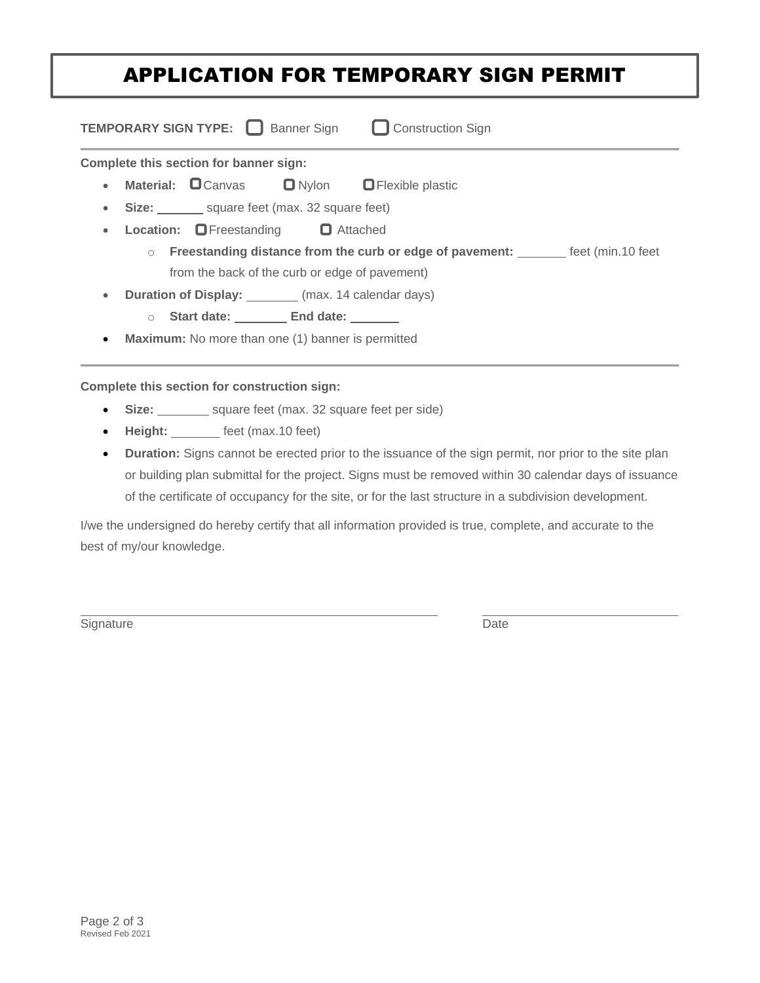# APPLICATION FOR TEMPORARY SIGN PERMIT

| <b>TEMPORARY SIGN TYPE:</b> Sanner Sign<br><b>L</b> Construction Sign                          |                                                       |  |  |  |
|------------------------------------------------------------------------------------------------|-------------------------------------------------------|--|--|--|
| Complete this section for banner sign:                                                         |                                                       |  |  |  |
| $\bullet$                                                                                      | Material: CCanvas C Nylon C Flexible plastic          |  |  |  |
| ۰                                                                                              | Size: square feet (max. 32 square feet)               |  |  |  |
|                                                                                                | <b>Location:</b> $\Box$ Freestanding $\Box$ Attached  |  |  |  |
| Freestanding distance from the curb or edge of pavement: ________ feet (min.10 feet<br>$\circ$ |                                                       |  |  |  |
| from the back of the curb or edge of pavement)                                                 |                                                       |  |  |  |
| $\bullet$                                                                                      | Duration of Display: ________ (max. 14 calendar days) |  |  |  |
|                                                                                                | ○ Start date: End date:                               |  |  |  |
| Maximum: No more than one (1) banner is permitted<br>$\bullet$                                 |                                                       |  |  |  |
|                                                                                                |                                                       |  |  |  |

#### **Complete this section for construction sign:**

- Size: square feet (max. 32 square feet per side)
- Height: \_\_\_\_\_\_\_ feet (max.10 feet)
- **Duration:** Signs cannot be erected prior to the issuance of the sign permit, nor prior to the site plan or building plan submittal for the project. Signs must be removed within 30 calendar days of issuance of the certificate of occupancy for the site, or for the last structure in a subdivision development.

I/we the undersigned do hereby certify that all information provided is true, complete, and accurate to the best of my/our knowledge.

Signature Date